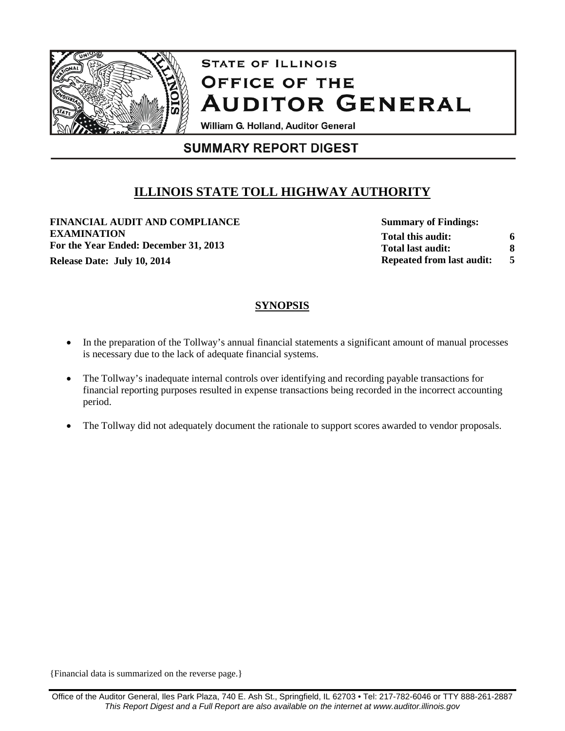

# **STATE OF ILLINOIS OFFICE OF THE AUDITOR GENERAL**

William G. Holland, Auditor General

# **SUMMARY REPORT DIGEST**

# **ILLINOIS STATE TOLL HIGHWAY AUTHORITY**

**FINANCIAL AUDIT AND COMPLIANCE EXAMINATION For the Year Ended: December 31, 2013 Release Date: July 10, 2014 5 5** 

**Summary of Findings: Total this audit: Total last audit: Repeated from last audit: 6 8**

# **SYNOPSIS**

- In the preparation of the Tollway's annual financial statements a significant amount of manual processes is necessary due to the lack of adequate financial systems.
- The Tollway's inadequate internal controls over identifying and recording payable transactions for financial reporting purposes resulted in expense transactions being recorded in the incorrect accounting period.
- The Tollway did not adequately document the rationale to support scores awarded to vendor proposals.

{Financial data is summarized on the reverse page.}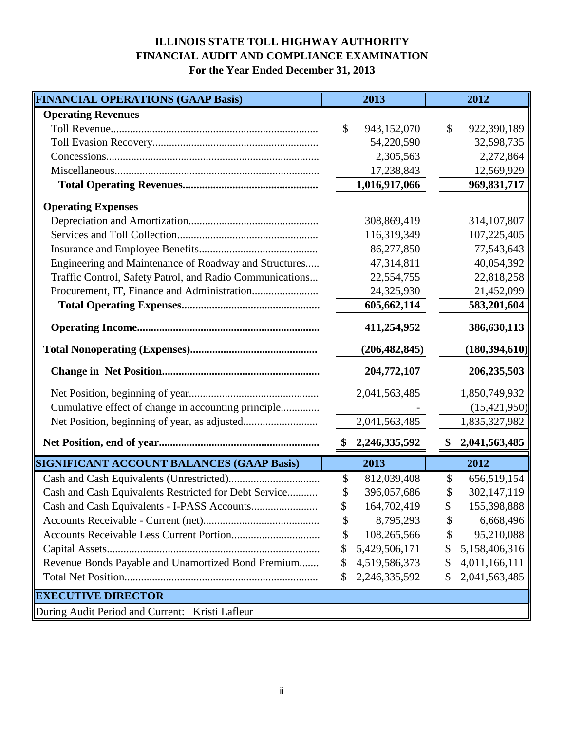# **ILLINOIS STATE TOLL HIGHWAY AUTHORITY FINANCIAL AUDIT AND COMPLIANCE EXAMINATION For the Year Ended December 31, 2013**

| <b>FINANCIAL OPERATIONS (GAAP Basis)</b>                 | 2013                | 2012                |
|----------------------------------------------------------|---------------------|---------------------|
| <b>Operating Revenues</b>                                |                     |                     |
|                                                          | \$<br>943,152,070   | \$<br>922,390,189   |
|                                                          | 54,220,590          | 32,598,735          |
|                                                          | 2,305,563           | 2,272,864           |
|                                                          | 17,238,843          | 12,569,929          |
|                                                          | 1,016,917,066       | 969,831,717         |
| <b>Operating Expenses</b>                                |                     |                     |
|                                                          | 308,869,419         | 314, 107, 807       |
|                                                          | 116,319,349         | 107,225,405         |
|                                                          | 86,277,850          | 77,543,643          |
| Engineering and Maintenance of Roadway and Structures    | 47,314,811          | 40,054,392          |
| Traffic Control, Safety Patrol, and Radio Communications | 22,554,755          | 22,818,258          |
|                                                          | 24,325,930          | 21,452,099          |
|                                                          | 605,662,114         | 583,201,604         |
|                                                          | 411,254,952         | 386,630,113         |
|                                                          | (206, 482, 845)     | (180, 394, 610)     |
|                                                          | 204,772,107         | 206,235,503         |
|                                                          | 2,041,563,485       | 1,850,749,932       |
| Cumulative effect of change in accounting principle      |                     | (15, 421, 950)      |
|                                                          | 2,041,563,485       | 1,835,327,982       |
|                                                          | 2,246,335,592<br>\$ | 2,041,563,485<br>\$ |
| <b>SIGNIFICANT ACCOUNT BALANCES (GAAP Basis)</b>         | 2013                | 2012                |
|                                                          | \$<br>812,039,408   | 656,519,154<br>\$   |
| Cash and Cash Equivalents Restricted for Debt Service    | 396,057,686<br>\$   | 302,147,119<br>\$   |
|                                                          | \$<br>164,702,419   | \$<br>155,398,888   |
|                                                          | \$<br>8,795,293     | 6,668,496<br>\$     |
|                                                          | \$<br>108,265,566   | 95,210,088<br>\$    |
|                                                          | 5,429,506,171<br>\$ | 5,158,406,316<br>\$ |
| Revenue Bonds Payable and Unamortized Bond Premium       | \$<br>4,519,586,373 | 4,011,166,111<br>\$ |
|                                                          | 2,246,335,592<br>\$ | 2,041,563,485<br>\$ |
| <b>EXECUTIVE DIRECTOR</b>                                |                     |                     |
| During Audit Period and Current: Kristi Lafleur          |                     |                     |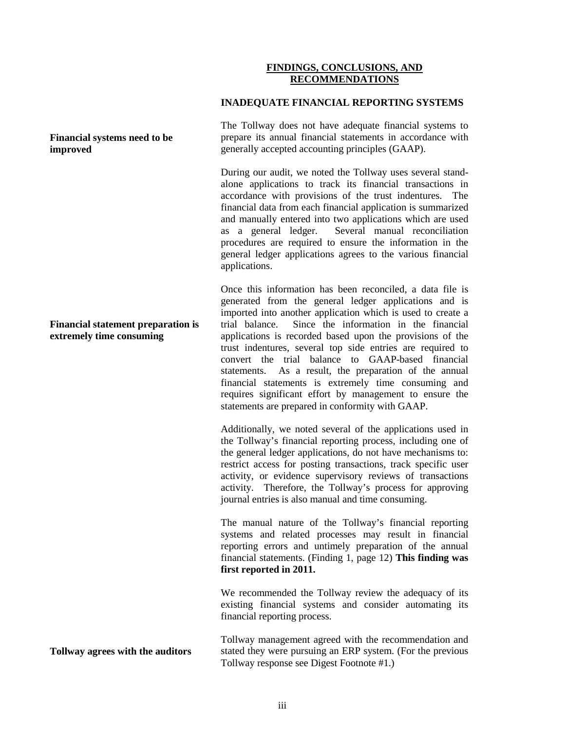# **FINDINGS, CONCLUSIONS, AND RECOMMENDATIONS**

### **INADEQUATE FINANCIAL REPORTING SYSTEMS**

The Tollway does not have adequate financial systems to prepare its annual financial statements in accordance with generally accepted accounting principles (GAAP).

During our audit, we noted the Tollway uses several standalone applications to track its financial transactions in accordance with provisions of the trust indentures. The financial data from each financial application is summarized and manually entered into two applications which are used as a general ledger. Several manual reconciliation procedures are required to ensure the information in the general ledger applications agrees to the various financial applications.

Once this information has been reconciled, a data file is generated from the general ledger applications and is imported into another application which is used to create a trial balance. Since the information in the financial applications is recorded based upon the provisions of the trust indentures, several top side entries are required to convert the trial balance to GAAP-based financial statements. As a result, the preparation of the annual financial statements is extremely time consuming and requires significant effort by management to ensure the statements are prepared in conformity with GAAP.

Additionally, we noted several of the applications used in the Tollway's financial reporting process, including one of the general ledger applications, do not have mechanisms to: restrict access for posting transactions, track specific user activity, or evidence supervisory reviews of transactions activity. Therefore, the Tollway's process for approving journal entries is also manual and time consuming.

The manual nature of the Tollway's financial reporting systems and related processes may result in financial reporting errors and untimely preparation of the annual financial statements. (Finding 1, page 12) **This finding was first reported in 2011.**

We recommended the Tollway review the adequacy of its existing financial systems and consider automating its financial reporting process.

Tollway management agreed with the recommendation and stated they were pursuing an ERP system. (For the previous Tollway response see Digest Footnote #1.)

# **Financial systems need to be improved**

#### **Financial statement preparation is extremely time consuming**

**Tollway agrees with the auditors**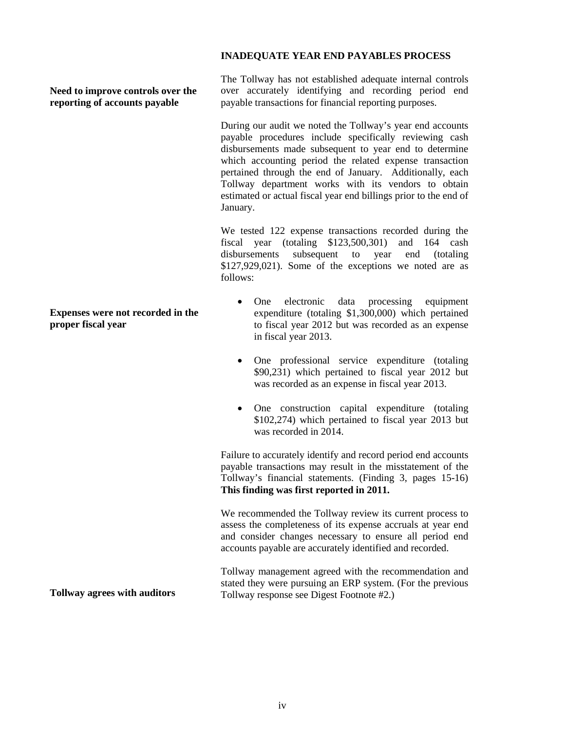# **INADEQUATE YEAR END PAYABLES PROCESS**

**Need to improve controls over the reporting of accounts payable**

**Expenses were not recorded in the proper fiscal year**

The Tollway has not established adequate internal controls over accurately identifying and recording period end payable transactions for financial reporting purposes.

During our audit we noted the Tollway's year end accounts payable procedures include specifically reviewing cash disbursements made subsequent to year end to determine which accounting period the related expense transaction pertained through the end of January. Additionally, each Tollway department works with its vendors to obtain estimated or actual fiscal year end billings prior to the end of January.

We tested 122 expense transactions recorded during the fiscal year (totaling \$123,500,301) and 164 cash disbursements subsequent to year end (totaling \$127,929,021). Some of the exceptions we noted are as follows:

- One electronic data processing equipment expenditure (totaling \$1,300,000) which pertained to fiscal year 2012 but was recorded as an expense in fiscal year 2013.
- One professional service expenditure (totaling \$90,231) which pertained to fiscal year 2012 but was recorded as an expense in fiscal year 2013.
- One construction capital expenditure (totaling \$102,274) which pertained to fiscal year 2013 but was recorded in 2014.

Failure to accurately identify and record period end accounts payable transactions may result in the misstatement of the Tollway's financial statements. (Finding 3, pages 15-16) **This finding was first reported in 2011.**

We recommended the Tollway review its current process to assess the completeness of its expense accruals at year end and consider changes necessary to ensure all period end accounts payable are accurately identified and recorded.

Tollway management agreed with the recommendation and stated they were pursuing an ERP system. (For the previous Tollway response see Digest Footnote #2.)

**Tollway agrees with auditors**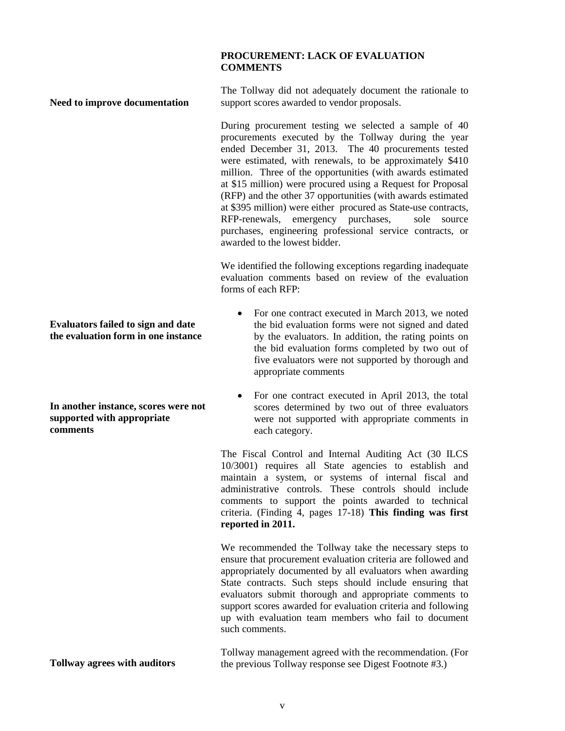# **PROCUREMENT: LACK OF EVALUATION COMMENTS**

The Tollway did not adequately document the rationale to support scores awarded to vendor proposals.

During procurement testing we selected a sample of 40 procurements executed by the Tollway during the year ended December 31, 2013. The 40 procurements tested were estimated, with renewals, to be approximately \$410 million. Three of the opportunities (with awards estimated at \$15 million) were procured using a Request for Proposal (RFP) and the other 37 opportunities (with awards estimated at \$395 million) were either procured as State-use contracts, RFP-renewals, emergency purchases, sole source purchases, engineering professional service contracts, or awarded to the lowest bidder.

We identified the following exceptions regarding inadequate evaluation comments based on review of the evaluation forms of each RFP:

- For one contract executed in March 2013, we noted the bid evaluation forms were not signed and dated by the evaluators. In addition, the rating points on the bid evaluation forms completed by two out of five evaluators were not supported by thorough and appropriate comments
- For one contract executed in April 2013, the total scores determined by two out of three evaluators were not supported with appropriate comments in each category.

The Fiscal Control and Internal Auditing Act (30 ILCS 10/3001) requires all State agencies to establish and maintain a system, or systems of internal fiscal and administrative controls. These controls should include comments to support the points awarded to technical criteria. (Finding 4, pages 17-18) **This finding was first reported in 2011.**

We recommended the Tollway take the necessary steps to ensure that procurement evaluation criteria are followed and appropriately documented by all evaluators when awarding State contracts. Such steps should include ensuring that evaluators submit thorough and appropriate comments to support scores awarded for evaluation criteria and following up with evaluation team members who fail to document such comments.

Tollway management agreed with the recommendation. (For the previous Tollway response see Digest Footnote #3.)

**Evaluators failed to sign and date the evaluation form in one instance**

**Need to improve documentation**

**In another instance, scores were not supported with appropriate comments**

**Tollway agrees with auditors**